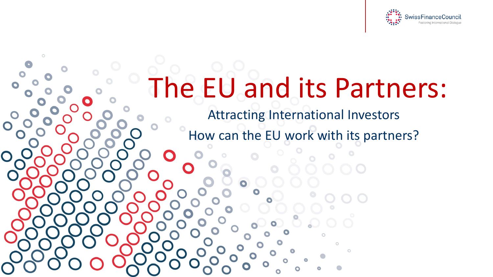

### The EU and its Partners:

 $\circ$ 

Attracting International Investors How can the EU work with its partners?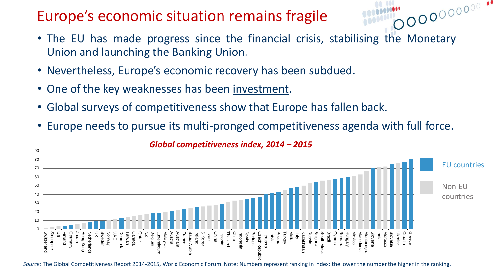#### Europe's economic situation remains fragile

• The EU has made progress since the financial crisis, stabilising the Monetary Union and launching the Banking Union.

- Nevertheless, Europe's economic recovery has been subdued.
- One of the key weaknesses has been investment.
- Global surveys of competitiveness show that Europe has fallen back.
- Europe needs to pursue its multi-pronged competitiveness agenda with full force.



#### *Global competitiveness index, 2014 – 2015*

*Source:* The Global Competitiveness Report 2014-2015, World Economic Forum. Note: Numbers represent ranking in index; the lower the number the higher in the ranking.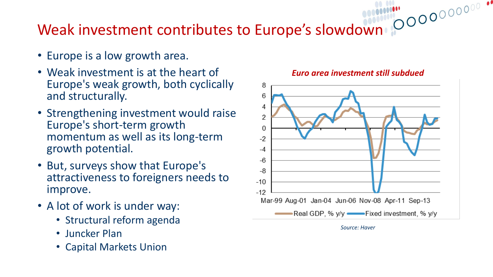# Weak investment contributes to Europe's slowdown

- Europe is a low growth area.
- Weak investment is at the heart of Europe's weak growth, both cyclically and structurally.
- Strengthening investment would raise Europe's short-term growth momentum as well as its long-term growth potential.
- But, surveys show that Europe's attractiveness to foreigners needs to improve.
- A lot of work is under way:
	- Structural reform agenda
	- Juncker Plan
	- Capital Markets Union



*Euro area investment still subdued*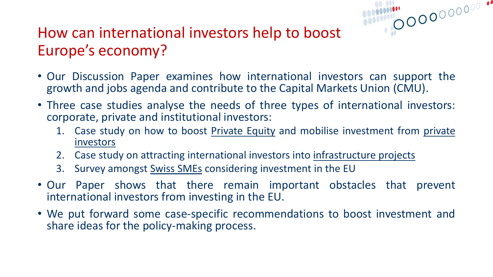#### How can international investors help to boost Europe's economy?

• Our Discussion Paper examines how international investors can support the growth and jobs agenda and contribute to the Capital Markets Union (CMU).

- Three case studies analyse the needs of three types of international investors: corporate, private and institutional investors:
	- 1. Case study on how to boost Private Equity and mobilise investment from private investors
	- 2. Case study on attracting international investors into infrastructure projects
	- 3. Survey amongst **Swiss SMEs** considering investment in the EU
- Our Paper shows that there remain important obstacles that prevent international investors from investing in the EU.
- We put forward some case-specific recommendations to boost investment and share ideas for the policy-making process.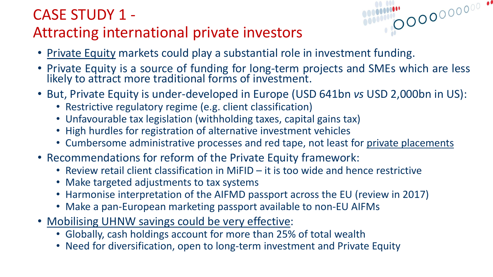#### CASE STUDY 1 - Attracting international private investors

- Private Equity markets could play a substantial role in investment funding.
- Private Equity is a source of funding for long-term projects and SMEs which are less likely to attract more traditional forms of investment.

- But, Private Equity is under-developed in Europe (USD 641bn *vs* USD 2,000bn in US):
	- Restrictive regulatory regime (e.g. client classification)
	- Unfavourable tax legislation (withholding taxes, capital gains tax)
	- High hurdles for registration of alternative investment vehicles
	- Cumbersome administrative processes and red tape, not least for private placements
- Recommendations for reform of the Private Equity framework:
	- Review retail client classification in MiFID it is too wide and hence restrictive
	- Make targeted adjustments to tax systems
	- Harmonise interpretation of the AIFMD passport across the EU (review in 2017)
	- Make a pan-European marketing passport available to non-EU AIFMs
- Mobilising UHNW savings could be very effective:
	- Globally, cash holdings account for more than 25% of total wealth
	- Need for diversification, open to long-term investment and Private Equity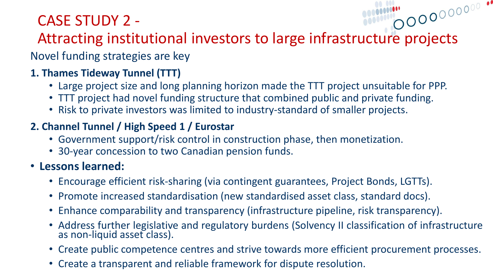#### CASE STUDY 2 -

# CASE SIUDY 2 -<br>Attracting institutional investors to large infrastructure projects

Novel funding strategies are key

#### **1. Thames Tideway Tunnel (TTT)**

- Large project size and long planning horizon made the TTT project unsuitable for PPP.
- TTT project had novel funding structure that combined public and private funding.
- Risk to private investors was limited to industry-standard of smaller projects.

#### **2. Channel Tunnel / High Speed 1 / Eurostar**

- Government support/risk control in construction phase, then monetization.
- 30-year concession to two Canadian pension funds.

#### • **Lessons learned:**

- Encourage efficient risk-sharing (via contingent guarantees, Project Bonds, LGTTs).
- Promote increased standardisation (new standardised asset class, standard docs).
- Enhance comparability and transparency (infrastructure pipeline, risk transparency).
- Address further legislative and regulatory burdens (Solvency II classification of infrastructure as non-liquid asset class).
- Create public competence centres and strive towards more efficient procurement processes.
- Create a transparent and reliable framework for dispute resolution.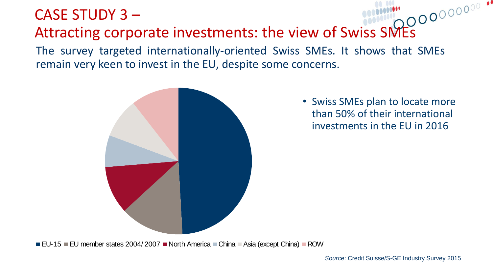#### CASE STUDY 3 –

#### Attracting corporate investments: the view of Swiss SMEs

The survey targeted internationally-oriented Swiss SMEs. It shows that SMEs remain very keen to invest in the EU, despite some concerns.



• Swiss SMEs plan to locate more than 50% of their international investments in the EU in 2016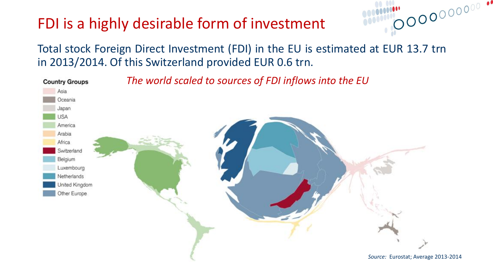#### FDI is a highly desirable form of investment

Total stock Foreign Direct Investment (FDI) in the EU is estimated at EUR 13.7 trn in 2013/2014. Of this Switzerland provided EUR 0.6 trn.

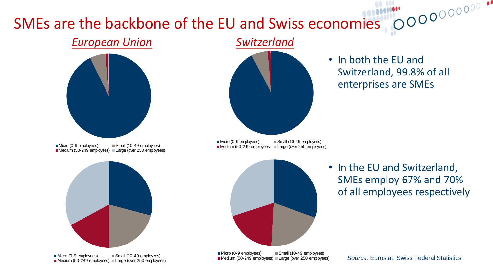#### SMEs are the backbone of the EU and Swiss economies

#### *European Union Switzerland*



■ Micro (0-9 employees) ■ Small (10-49 employees) Medium (50-249 employees) Large (over 250 employees)



■ Micro (0-9 employees) ■ Small (10-49 employees) **Medium (50-249 employees)** Large (over 250 employees)



Switzerland, 99.8% of all

enterprises are SMEs

• In both the EU and

• In the EU and Switzerland, SMEs employ 67% and 70% of all employees respectively

■ Micro (0-9 employees) ■ Small (10-49 employees) Medium (50-249 employees) Large (over 250 employees) ■ Micro (0-9 employees) ■ Small (10-49 employees) Medium (50-249 employees) Large (over 250 employees)

*Source:* Eurostat, Swiss Federal Statistics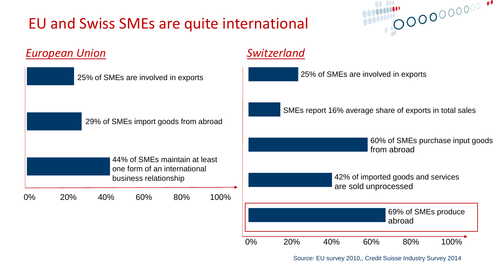#### EU and Swiss SMEs are quite international



| <b>European Union</b>                                                                  |     |     |     |     |      |                                                            | Switzerland                                             |     |     |                               |      |  |  |
|----------------------------------------------------------------------------------------|-----|-----|-----|-----|------|------------------------------------------------------------|---------------------------------------------------------|-----|-----|-------------------------------|------|--|--|
| 25% of SMEs are involved in exports<br>29% of SMEs import goods from abroad            |     |     |     |     |      |                                                            | 25% of SMEs are involved in exports                     |     |     |                               |      |  |  |
|                                                                                        |     |     |     |     |      |                                                            | SMEs report 16% average share of exports in total sales |     |     |                               |      |  |  |
|                                                                                        |     |     |     |     |      |                                                            | 60% of SMEs purchase input goods<br>from abroad         |     |     |                               |      |  |  |
| 44% of SMEs maintain at least<br>one form of an international<br>business relationship |     |     |     |     |      | 42% of imported goods and services<br>are sold unprocessed |                                                         |     |     |                               |      |  |  |
| $0\%$                                                                                  | 20% | 40% | 60% | 80% | 100% |                                                            |                                                         |     |     |                               |      |  |  |
|                                                                                        |     |     |     |     |      |                                                            |                                                         |     |     | 69% of SMEs produce<br>abroad |      |  |  |
|                                                                                        |     |     |     |     |      | 0%                                                         | 20%                                                     | 40% | 60% | 80%                           | 100% |  |  |

*Source:* EU survey 2010,, Credit Suisse Industry Survey 2014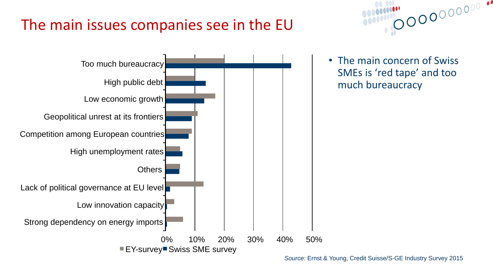### The main issues companies see in the EU





• The main concern of Swiss SMEs is 'red tape' and too much bureaucracy

*Source:* Ernst & Young, Credit Suisse/S-GE Industry Survey 2015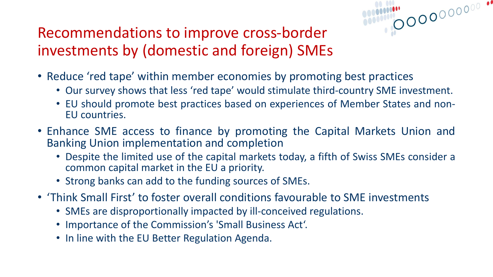#### Recommendations to improve cross-border investments by (domestic and foreign) SMEs

- Reduce 'red tape' within member economies by promoting best practices
	- Our survey shows that less 'red tape' would stimulate third-country SME investment.

- EU should promote best practices based on experiences of Member States and non-EU countries.
- Enhance SME access to finance by promoting the Capital Markets Union and Banking Union implementation and completion
	- Despite the limited use of the capital markets today, a fifth of Swiss SMEs consider a common capital market in the EU a priority.
	- Strong banks can add to the funding sources of SMEs.
- 'Think Small First' to foster overall conditions favourable to SME investments
	- SMEs are disproportionally impacted by ill-conceived regulations.
	- Importance of the Commission's 'Small Business Act'.
	- In line with the EU Better Regulation Agenda.